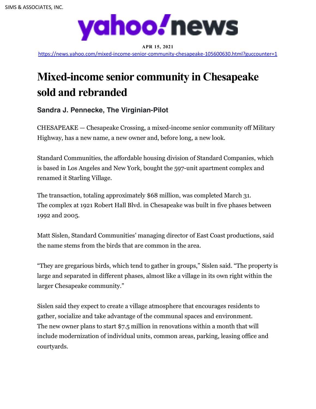

**APR 15, 2021** https://news.yahoo.com/mixed-income-senior-community-chesapeake-105600630.html?guccounter=1

## **Mixed-income senior community in Chesapeake sold and rebranded**

**Sandra J. Pennecke, The Virginian-Pilot**

CHESAPEAKE — Chesapeake Crossing, a mixed-income senior community off Military Highway, has a new name, a new owner and, before long, a new look.

Standard Communities, the affordable housing division of Standard Companies, which is based in Los Angeles and New York, bought the 597-unit apartment complex and renamed it Starling Village.

The transaction, totaling approximately \$68 million, was completed March 31. The complex at 1921 Robert Hall Blvd. in Chesapeake was built in five phases between 1992 and 2005.

Matt Sislen, Standard Communities' managing director of East Coast productions, said the name stems from the birds that are common in the area.

"They are gregarious birds, which tend to gather in groups," Sislen said. "The property is large and separated in different phases, almost like a village in its own right within the larger Chesapeake community."

Sislen said they expect to create a village atmosphere that encourages residents to gather, socialize and take advantage of the communal spaces and environment. The new owner plans to start \$7.5 million in renovations within a month that will include modernization of individual units, common areas, parking, leasing office and courtyards.